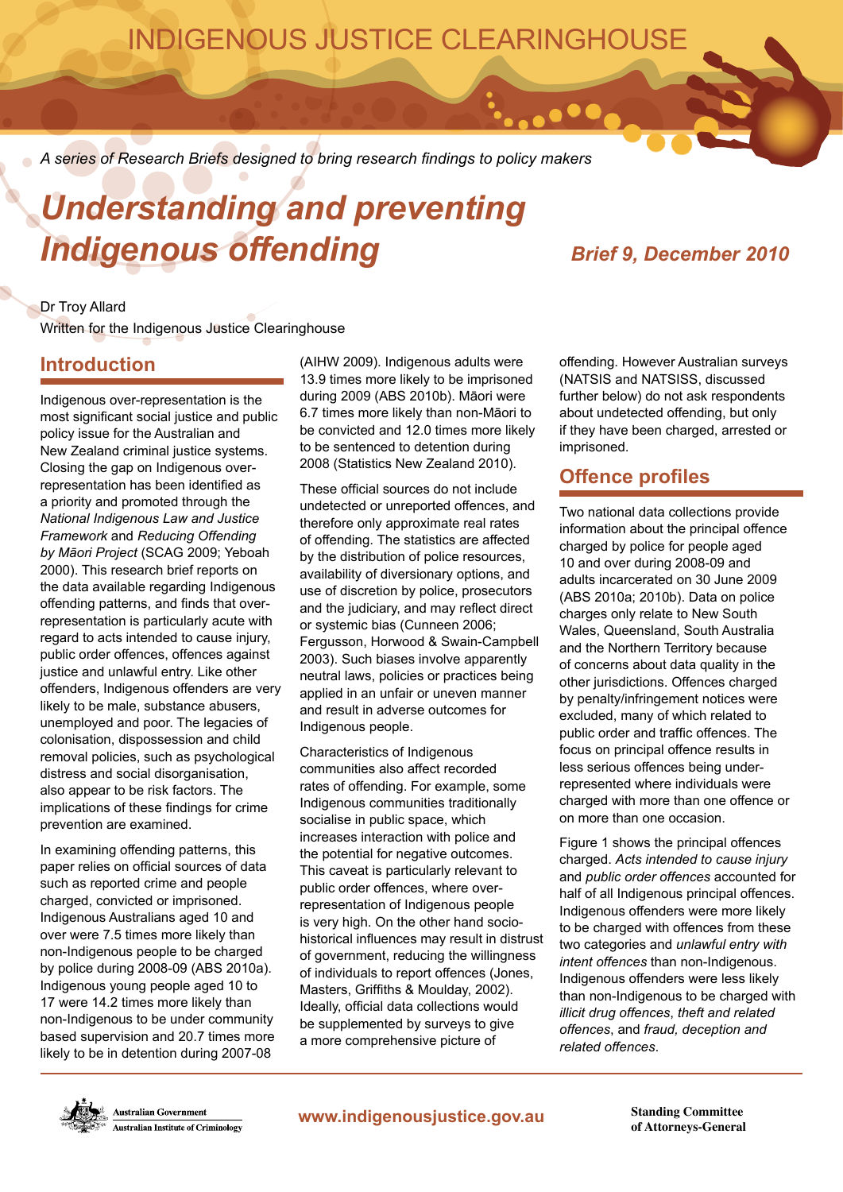## INDIGENOUS JUSTICE CLEARINGHOUSE

*A series of Research Briefs designed to bring research findings to policy makers*

# *Understanding and preventing Indigenous offending Brief 9, December 2010*

## Dr Troy Allard

Written for the Indigenous Justice Clearinghouse

## **Introduction**

Indigenous over-representation is the most significant social justice and public policy issue for the Australian and New Zealand criminal justice systems. Closing the gap on Indigenous overrepresentation has been identified as a priority and promoted through the *National Indigenous Law and Justice Framework* and *Reducing Offending by Māori Project* (SCAG 2009; Yeboah 2000). This research brief reports on the data available regarding Indigenous offending patterns, and finds that overrepresentation is particularly acute with regard to acts intended to cause injury, public order offences, offences against justice and unlawful entry. Like other offenders, Indigenous offenders are very likely to be male, substance abusers, unemployed and poor. The legacies of colonisation, dispossession and child removal policies, such as psychological distress and social disorganisation, also appear to be risk factors. The implications of these findings for crime prevention are examined.

In examining offending patterns, this paper relies on official sources of data such as reported crime and people charged, convicted or imprisoned. Indigenous Australians aged 10 and over were 7.5 times more likely than non-Indigenous people to be charged by police during 2008-09 (ABS 2010a). Indigenous young people aged 10 to 17 were 14.2 times more likely than non-Indigenous to be under community based supervision and 20.7 times more likely to be in detention during 2007-08

(AIHW 2009). Indigenous adults were 13.9 times more likely to be imprisoned during 2009 (ABS 2010b). Māori were 6.7 times more likely than non-Māori to be convicted and 12.0 times more likely to be sentenced to detention during 2008 (Statistics New Zealand 2010).

These official sources do not include undetected or unreported offences, and therefore only approximate real rates of offending. The statistics are affected by the distribution of police resources, availability of diversionary options, and use of discretion by police, prosecutors and the judiciary, and may reflect direct or systemic bias (Cunneen 2006; Fergusson, Horwood & Swain-Campbell 2003). Such biases involve apparently neutral laws, policies or practices being applied in an unfair or uneven manner and result in adverse outcomes for Indigenous people.

Characteristics of Indigenous communities also affect recorded rates of offending. For example, some Indigenous communities traditionally socialise in public space, which increases interaction with police and the potential for negative outcomes. This caveat is particularly relevant to public order offences, where overrepresentation of Indigenous people is very high. On the other hand sociohistorical influences may result in distrust of government, reducing the willingness of individuals to report offences (Jones, Masters, Griffiths & Moulday, 2002). Ideally, official data collections would be supplemented by surveys to give a more comprehensive picture of

offending. However Australian surveys (NATSIS and NATSISS, discussed further below) do not ask respondents about undetected offending, but only if they have been charged, arrested or imprisoned.

## **Offence profiles**

 $\bullet\bullet\bullet\bullet$ 

Two national data collections provide information about the principal offence charged by police for people aged 10 and over during 2008-09 and adults incarcerated on 30 June 2009 (ABS 2010a; 2010b). Data on police charges only relate to New South Wales, Queensland, South Australia and the Northern Territory because of concerns about data quality in the other jurisdictions. Offences charged by penalty/infringement notices were excluded, many of which related to public order and traffic offences. The focus on principal offence results in less serious offences being underrepresented where individuals were charged with more than one offence or on more than one occasion.

Figure 1 shows the principal offences charged. *Acts intended to cause injury* and *public order offences* accounted for half of all Indigenous principal offences. Indigenous offenders were more likely to be charged with offences from these two categories and *unlawful entry with intent offences* than non-Indigenous. Indigenous offenders were less likely than non-Indigenous to be charged with *illicit drug offences*, *theft and related offences*, and *fraud, deception and related offences*.

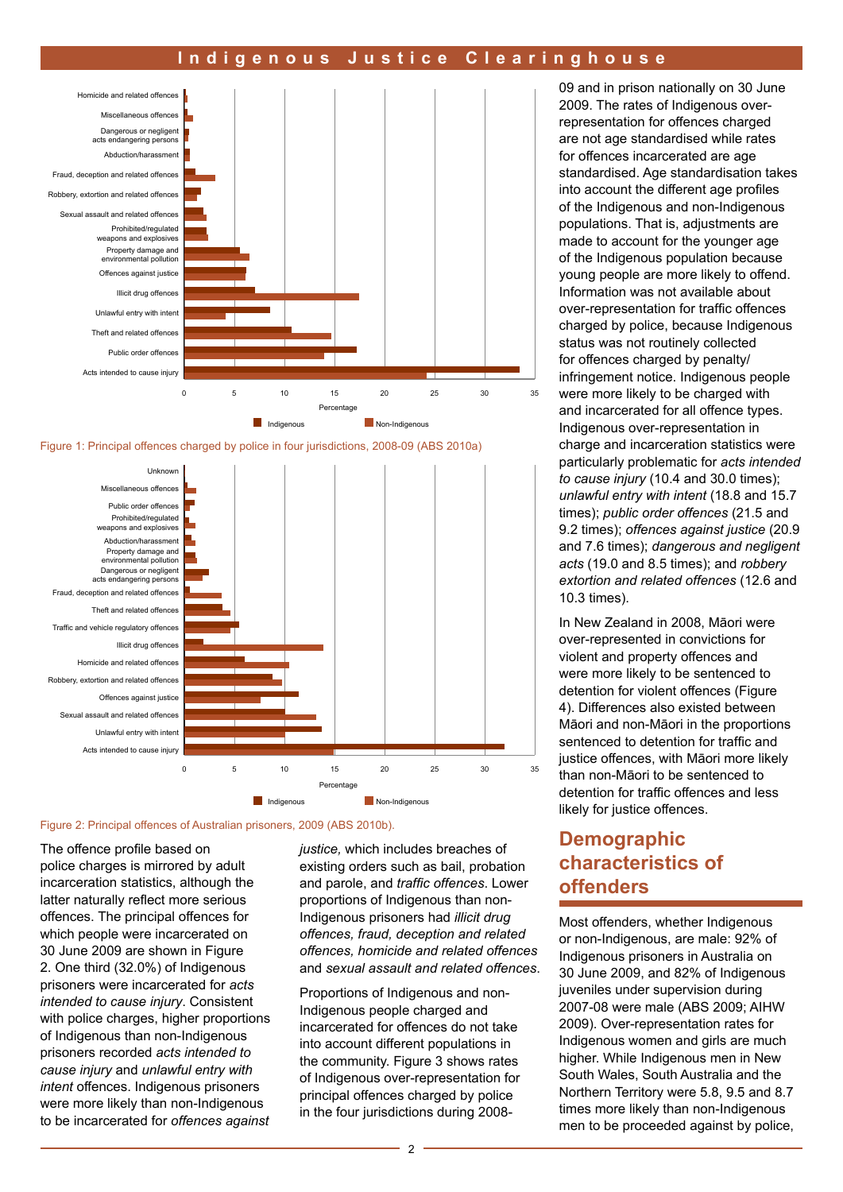





Figure 2: Principal offences of Australian prisoners, 2009 (ABS 2010b).

The offence profile based on police charges is mirrored by adult incarceration statistics, although the latter naturally reflect more serious offences. The principal offences for which people were incarcerated on 30 June 2009 are shown in Figure 2. One third (32.0%) of Indigenous prisoners were incarcerated for *acts intended to cause injury*. Consistent with police charges, higher proportions of Indigenous than non-Indigenous prisoners recorded *acts intended to cause injury* and *unlawful entry with intent* offences. Indigenous prisoners were more likely than non-Indigenous to be incarcerated for *offences against*  *justice,* which includes breaches of existing orders such as bail, probation and parole, and *traffic offences*. Lower proportions of Indigenous than non-Indigenous prisoners had *illicit drug offences, fraud, deception and related offences, homicide and related offences* and *sexual assault and related offences*.

Proportions of Indigenous and non-Indigenous people charged and incarcerated for offences do not take into account different populations in the community. Figure 3 shows rates of Indigenous over-representation for principal offences charged by police in the four jurisdictions during 200809 and in prison nationally on 30 June 2009. The rates of Indigenous overrepresentation for offences charged are not age standardised while rates for offences incarcerated are age standardised. Age standardisation takes into account the different age profiles of the Indigenous and non-Indigenous populations. That is, adjustments are made to account for the younger age of the Indigenous population because young people are more likely to offend. Information was not available about over-representation for traffic offences charged by police, because Indigenous status was not routinely collected for offences charged by penalty/ infringement notice. Indigenous people were more likely to be charged with and incarcerated for all offence types. Indigenous over-representation in charge and incarceration statistics were particularly problematic for *acts intended to cause injury* (10.4 and 30.0 times); *unlawful entry with intent* (18.8 and 15.7 times); *public order offences* (21.5 and 9.2 times); *offences against justice* (20.9 and 7.6 times); *dangerous and negligent acts* (19.0 and 8.5 times); and *robbery extortion and related offences* (12.6 and 10.3 times).

In New Zealand in 2008, Māori were over-represented in convictions for violent and property offences and were more likely to be sentenced to detention for violent offences (Figure 4). Differences also existed between Māori and non-Māori in the proportions sentenced to detention for traffic and justice offences, with Māori more likely than non-Māori to be sentenced to detention for traffic offences and less likely for justice offences.

## **Demographic characteristics of offenders**

Most offenders, whether Indigenous or non-Indigenous, are male: 92% of Indigenous prisoners in Australia on 30 June 2009, and 82% of Indigenous juveniles under supervision during 2007-08 were male (ABS 2009; AIHW 2009). Over-representation rates for Indigenous women and girls are much higher. While Indigenous men in New South Wales, South Australia and the Northern Territory were 5.8, 9.5 and 8.7 times more likely than non-Indigenous men to be proceeded against by police,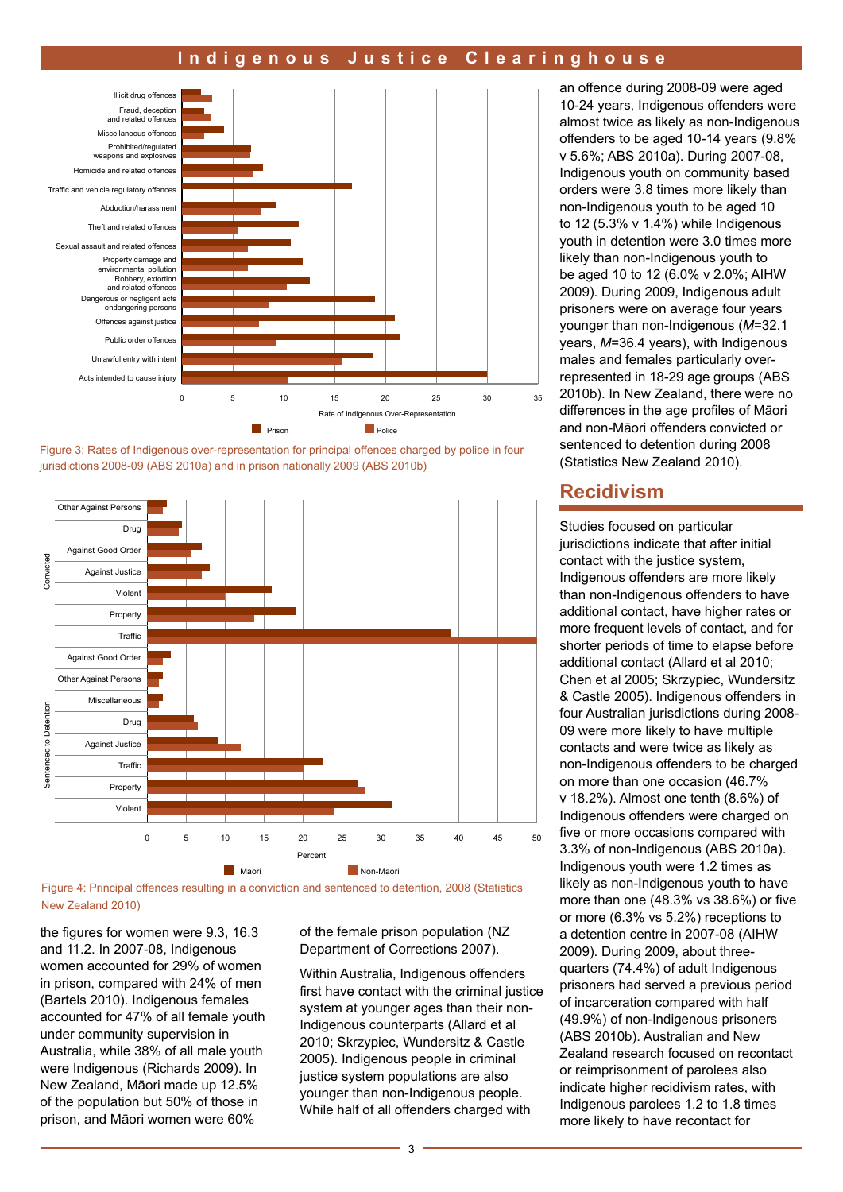





Figure 4: Principal offences resulting in a conviction and sentenced to detention, 2008 (Statistics New Zealand 2010)

the figures for women were 9.3, 16.3 and 11.2. In 2007-08, Indigenous women accounted for 29% of women in prison, compared with 24% of men (Bartels 2010). Indigenous females accounted for 47% of all female youth under community supervision in Australia, while 38% of all male youth were Indigenous (Richards 2009). In New Zealand, Māori made up 12.5% of the population but 50% of those in prison, and Māori women were 60%

of the female prison population (NZ Department of Corrections 2007).

Within Australia, Indigenous offenders first have contact with the criminal justice system at younger ages than their non-Indigenous counterparts (Allard et al 2010; Skrzypiec, Wundersitz & Castle 2005). Indigenous people in criminal justice system populations are also younger than non-Indigenous people. While half of all offenders charged with

an offence during 2008-09 were aged 10-24 years, Indigenous offenders were almost twice as likely as non-Indigenous offenders to be aged 10-14 years (9.8% v 5.6%; ABS 2010a). During 2007-08, Indigenous youth on community based orders were 3.8 times more likely than non-Indigenous youth to be aged 10 to 12 (5.3% v 1.4%) while Indigenous youth in detention were 3.0 times more likely than non-Indigenous youth to be aged 10 to 12 (6.0% v 2.0%; AIHW 2009). During 2009, Indigenous adult prisoners were on average four years younger than non-Indigenous (*M*=32.1 years, *M*=36.4 years), with Indigenous males and females particularly overrepresented in 18-29 age groups (ABS 2010b). In New Zealand, there were no differences in the age profiles of Māori and non-Māori offenders convicted or sentenced to detention during 2008 (Statistics New Zealand 2010).

### **Recidivism**

Studies focused on particular jurisdictions indicate that after initial contact with the justice system, Indigenous offenders are more likely than non-Indigenous offenders to have additional contact, have higher rates or more frequent levels of contact, and for shorter periods of time to elapse before additional contact (Allard et al 2010; Chen et al 2005; Skrzypiec, Wundersitz & Castle 2005). Indigenous offenders in four Australian jurisdictions during 2008- 09 were more likely to have multiple contacts and were twice as likely as non-Indigenous offenders to be charged on more than one occasion (46.7% v 18.2%). Almost one tenth (8.6%) of Indigenous offenders were charged on five or more occasions compared with 3.3% of non-Indigenous (ABS 2010a). Indigenous youth were 1.2 times as likely as non-Indigenous youth to have more than one (48.3% vs 38.6%) or five or more (6.3% vs 5.2%) receptions to a detention centre in 2007-08 (AIHW 2009). During 2009, about threequarters (74.4%) of adult Indigenous prisoners had served a previous period of incarceration compared with half (49.9%) of non-Indigenous prisoners (ABS 2010b). Australian and New Zealand research focused on recontact or reimprisonment of parolees also indicate higher recidivism rates, with Indigenous parolees 1.2 to 1.8 times more likely to have recontact for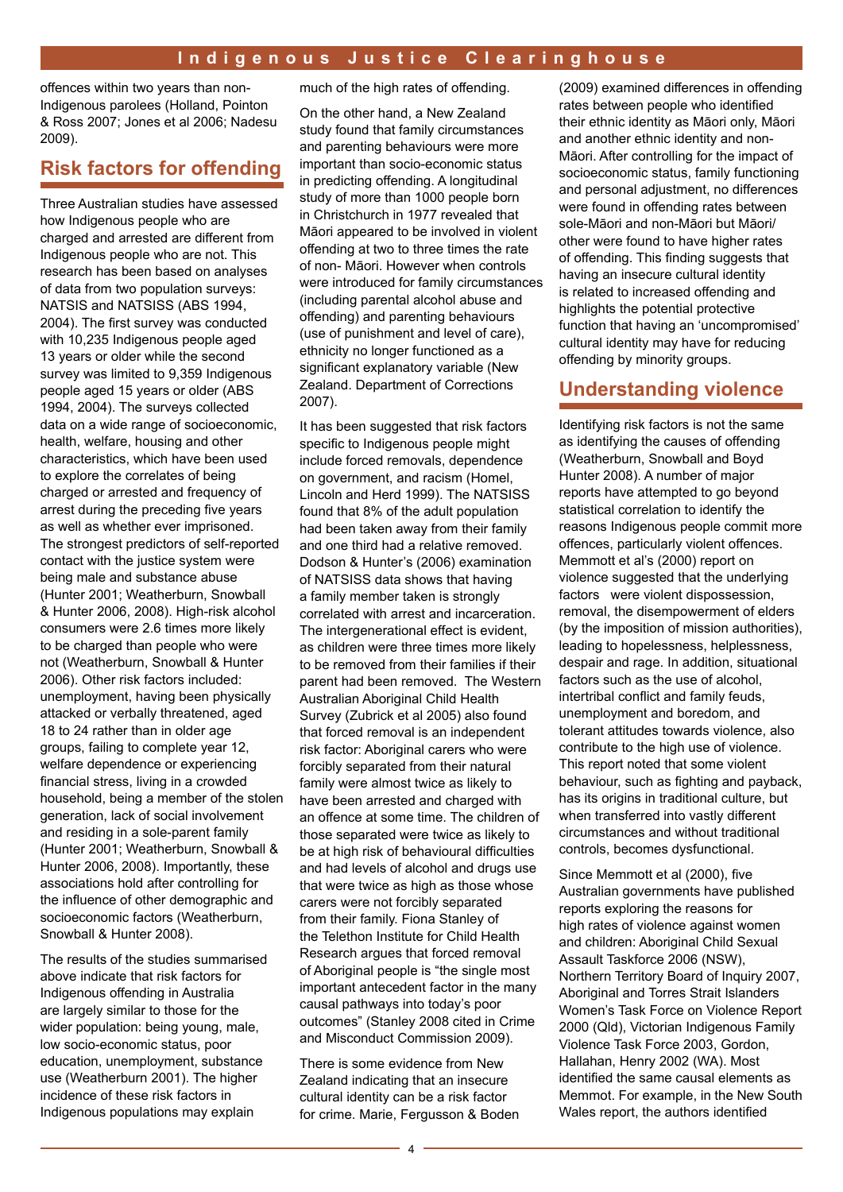offences within two years than non-Indigenous parolees (Holland, Pointon & Ross 2007; Jones et al 2006; Nadesu 2009).

## **Risk factors for offending**

Three Australian studies have assessed how Indigenous people who are charged and arrested are different from Indigenous people who are not. This research has been based on analyses of data from two population surveys: NATSIS and NATSISS (ABS 1994, 2004). The first survey was conducted with 10,235 Indigenous people aged 13 years or older while the second survey was limited to 9,359 Indigenous people aged 15 years or older (ABS 1994, 2004). The surveys collected data on a wide range of socioeconomic, health, welfare, housing and other characteristics, which have been used to explore the correlates of being charged or arrested and frequency of arrest during the preceding five years as well as whether ever imprisoned. The strongest predictors of self-reported contact with the justice system were being male and substance abuse (Hunter 2001; Weatherburn, Snowball & Hunter 2006, 2008). High-risk alcohol consumers were 2.6 times more likely to be charged than people who were not (Weatherburn, Snowball & Hunter 2006). Other risk factors included: unemployment, having been physically attacked or verbally threatened, aged 18 to 24 rather than in older age groups, failing to complete year 12, welfare dependence or experiencing financial stress, living in a crowded household, being a member of the stolen generation, lack of social involvement and residing in a sole-parent family (Hunter 2001; Weatherburn, Snowball & Hunter 2006, 2008). Importantly, these associations hold after controlling for the influence of other demographic and socioeconomic factors (Weatherburn, Snowball & Hunter 2008).

The results of the studies summarised above indicate that risk factors for Indigenous offending in Australia are largely similar to those for the wider population: being young, male, low socio-economic status, poor education, unemployment, substance use (Weatherburn 2001). The higher incidence of these risk factors in Indigenous populations may explain

much of the high rates of offending.

On the other hand, a New Zealand study found that family circumstances and parenting behaviours were more important than socio-economic status in predicting offending. A longitudinal study of more than 1000 people born in Christchurch in 1977 revealed that Māori appeared to be involved in violent offending at two to three times the rate of non- Māori. However when controls were introduced for family circumstances (including parental alcohol abuse and offending) and parenting behaviours (use of punishment and level of care), ethnicity no longer functioned as a significant explanatory variable (New Zealand. Department of Corrections 2007).

It has been suggested that risk factors specific to Indigenous people might include forced removals, dependence on government, and racism (Homel, Lincoln and Herd 1999). The NATSISS found that 8% of the adult population had been taken away from their family and one third had a relative removed. Dodson & Hunter's (2006) examination of NATSISS data shows that having a family member taken is strongly correlated with arrest and incarceration. The intergenerational effect is evident, as children were three times more likely to be removed from their families if their parent had been removed. The Western Australian Aboriginal Child Health Survey (Zubrick et al 2005) also found that forced removal is an independent risk factor: Aboriginal carers who were forcibly separated from their natural family were almost twice as likely to have been arrested and charged with an offence at some time. The children of those separated were twice as likely to be at high risk of behavioural difficulties and had levels of alcohol and drugs use that were twice as high as those whose carers were not forcibly separated from their family. Fiona Stanley of the Telethon Institute for Child Health Research argues that forced removal of Aboriginal people is "the single most important antecedent factor in the many causal pathways into today's poor outcomes" (Stanley 2008 cited in Crime and Misconduct Commission 2009).

There is some evidence from New Zealand indicating that an insecure cultural identity can be a risk factor for crime. Marie, Fergusson & Boden (2009) examined differences in offending rates between people who identified their ethnic identity as Māori only, Māori and another ethnic identity and non-Māori. After controlling for the impact of socioeconomic status, family functioning and personal adjustment, no differences were found in offending rates between sole-Māori and non-Māori but Māori/ other were found to have higher rates of offending. This finding suggests that having an insecure cultural identity is related to increased offending and highlights the potential protective function that having an 'uncompromised' cultural identity may have for reducing offending by minority groups.

## **Understanding violence**

Identifying risk factors is not the same as identifying the causes of offending (Weatherburn, Snowball and Boyd Hunter 2008). A number of major reports have attempted to go beyond statistical correlation to identify the reasons Indigenous people commit more offences, particularly violent offences. Memmott et al's (2000) report on violence suggested that the underlying factors were violent dispossession, removal, the disempowerment of elders (by the imposition of mission authorities), leading to hopelessness, helplessness, despair and rage. In addition, situational factors such as the use of alcohol, intertribal conflict and family feuds, unemployment and boredom, and tolerant attitudes towards violence, also contribute to the high use of violence. This report noted that some violent behaviour, such as fighting and payback, has its origins in traditional culture, but when transferred into vastly different circumstances and without traditional controls, becomes dysfunctional.

Since Memmott et al (2000), five Australian governments have published reports exploring the reasons for high rates of violence against women and children: Aboriginal Child Sexual Assault Taskforce 2006 (NSW), Northern Territory Board of Inquiry 2007, Aboriginal and Torres Strait Islanders Women's Task Force on Violence Report 2000 (Qld), Victorian Indigenous Family Violence Task Force 2003, Gordon, Hallahan, Henry 2002 (WA). Most identified the same causal elements as Memmot. For example, in the New South Wales report, the authors identified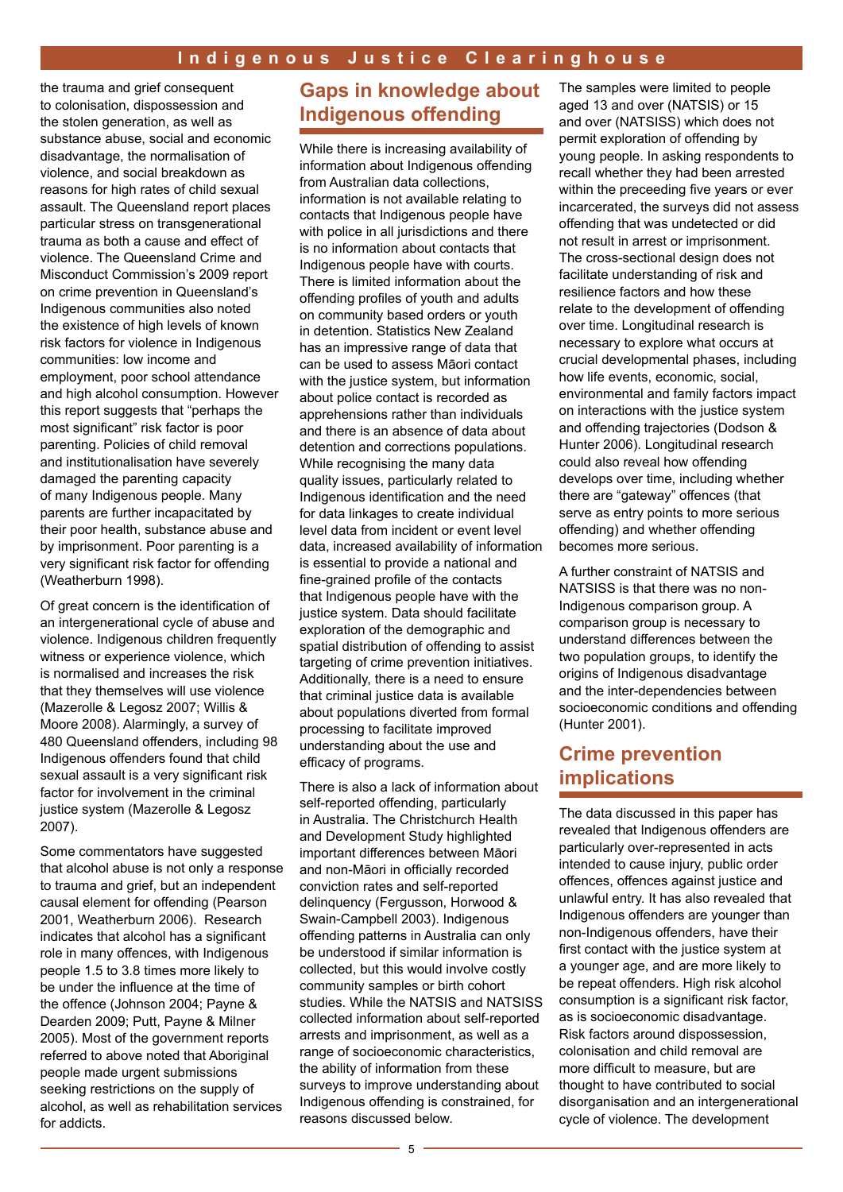the trauma and grief consequent to colonisation, dispossession and the stolen generation, as well as substance abuse, social and economic disadvantage, the normalisation of violence, and social breakdown as reasons for high rates of child sexual assault. The Queensland report places particular stress on transgenerational trauma as both a cause and effect of violence. The Queensland Crime and Misconduct Commission's 2009 report on crime prevention in Queensland's Indigenous communities also noted the existence of high levels of known risk factors for violence in Indigenous communities: low income and employment, poor school attendance and high alcohol consumption. However this report suggests that "perhaps the most significant" risk factor is poor parenting. Policies of child removal and institutionalisation have severely damaged the parenting capacity of many Indigenous people. Many parents are further incapacitated by their poor health, substance abuse and by imprisonment. Poor parenting is a very significant risk factor for offending (Weatherburn 1998).

Of great concern is the identification of an intergenerational cycle of abuse and violence. Indigenous children frequently witness or experience violence, which is normalised and increases the risk that they themselves will use violence (Mazerolle & Legosz 2007; Willis & Moore 2008). Alarmingly, a survey of 480 Queensland offenders, including 98 Indigenous offenders found that child sexual assault is a very significant risk factor for involvement in the criminal justice system (Mazerolle & Legosz 2007).

Some commentators have suggested that alcohol abuse is not only a response to trauma and grief, but an independent causal element for offending (Pearson 2001, Weatherburn 2006). Research indicates that alcohol has a significant role in many offences, with Indigenous people 1.5 to 3.8 times more likely to be under the influence at the time of the offence (Johnson 2004; Payne & Dearden 2009; Putt, Payne & Milner 2005). Most of the government reports referred to above noted that Aboriginal people made urgent submissions seeking restrictions on the supply of alcohol, as well as rehabilitation services for addicts.

## **Gaps in knowledge about Indigenous offending**

While there is increasing availability of information about Indigenous offending from Australian data collections, information is not available relating to contacts that Indigenous people have with police in all jurisdictions and there is no information about contacts that Indigenous people have with courts. There is limited information about the offending profiles of youth and adults on community based orders or youth in detention. Statistics New Zealand has an impressive range of data that can be used to assess Māori contact with the justice system, but information about police contact is recorded as apprehensions rather than individuals and there is an absence of data about detention and corrections populations. While recognising the many data quality issues, particularly related to Indigenous identification and the need for data linkages to create individual level data from incident or event level data, increased availability of information is essential to provide a national and fine-grained profile of the contacts that Indigenous people have with the justice system. Data should facilitate exploration of the demographic and spatial distribution of offending to assist targeting of crime prevention initiatives. Additionally, there is a need to ensure that criminal justice data is available about populations diverted from formal processing to facilitate improved understanding about the use and efficacy of programs.

There is also a lack of information about self-reported offending, particularly in Australia. The Christchurch Health and Development Study highlighted important differences between Māori and non-Māori in officially recorded conviction rates and self-reported delinquency (Fergusson, Horwood & Swain-Campbell 2003). Indigenous offending patterns in Australia can only be understood if similar information is collected, but this would involve costly community samples or birth cohort studies. While the NATSIS and NATSISS collected information about self-reported arrests and imprisonment, as well as a range of socioeconomic characteristics, the ability of information from these surveys to improve understanding about Indigenous offending is constrained, for reasons discussed below.

The samples were limited to people aged 13 and over (NATSIS) or 15 and over (NATSISS) which does not permit exploration of offending by young people. In asking respondents to recall whether they had been arrested within the preceeding five years or ever incarcerated, the surveys did not assess offending that was undetected or did not result in arrest or imprisonment. The cross-sectional design does not facilitate understanding of risk and resilience factors and how these relate to the development of offending over time. Longitudinal research is necessary to explore what occurs at crucial developmental phases, including how life events, economic, social, environmental and family factors impact on interactions with the justice system and offending trajectories (Dodson & Hunter 2006). Longitudinal research could also reveal how offending develops over time, including whether there are "gateway" offences (that serve as entry points to more serious offending) and whether offending becomes more serious.

A further constraint of NATSIS and NATSISS is that there was no non-Indigenous comparison group. A comparison group is necessary to understand differences between the two population groups, to identify the origins of Indigenous disadvantage and the inter-dependencies between socioeconomic conditions and offending (Hunter 2001).

## **Crime prevention implications**

The data discussed in this paper has revealed that Indigenous offenders are particularly over-represented in acts intended to cause injury, public order offences, offences against justice and unlawful entry. It has also revealed that Indigenous offenders are younger than non-Indigenous offenders, have their first contact with the justice system at a younger age, and are more likely to be repeat offenders. High risk alcohol consumption is a significant risk factor, as is socioeconomic disadvantage. Risk factors around dispossession, colonisation and child removal are more difficult to measure, but are thought to have contributed to social disorganisation and an intergenerational cycle of violence. The development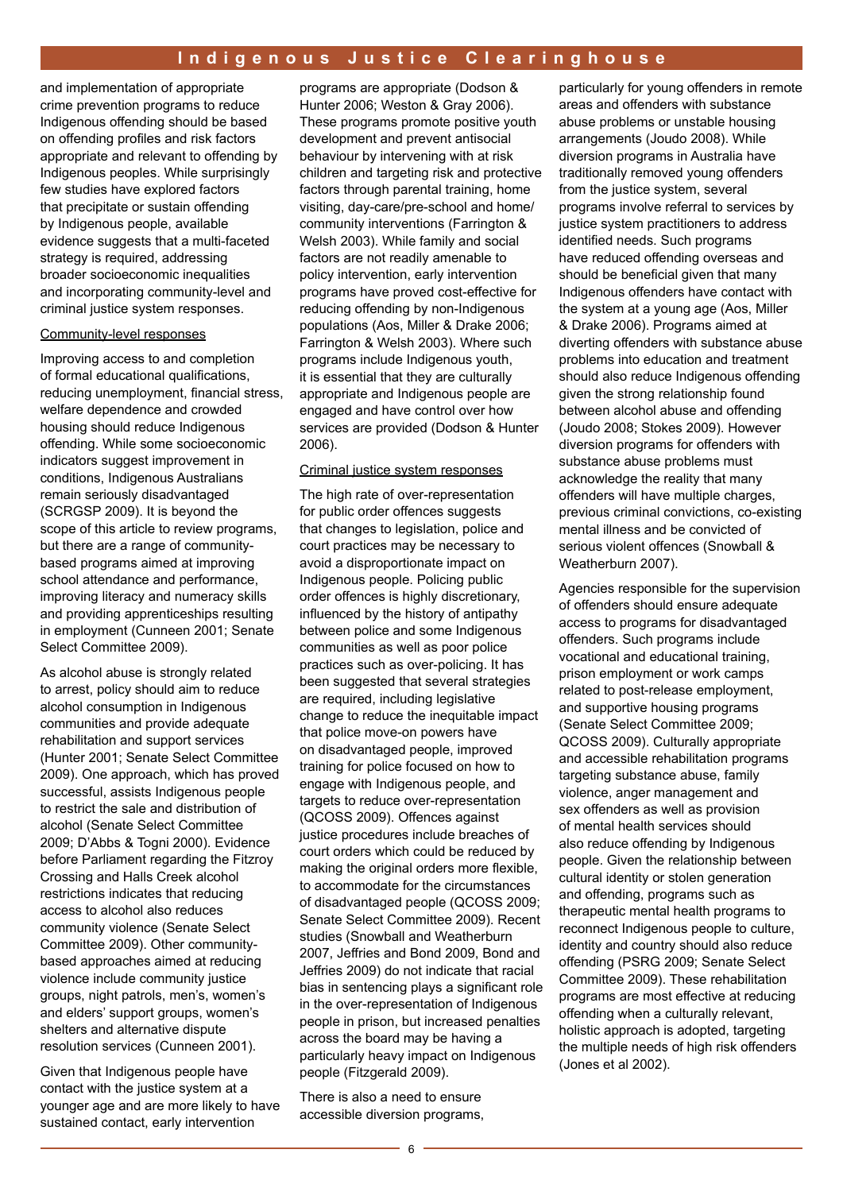and implementation of appropriate crime prevention programs to reduce Indigenous offending should be based on offending profiles and risk factors appropriate and relevant to offending by Indigenous peoples. While surprisingly few studies have explored factors that precipitate or sustain offending by Indigenous people, available evidence suggests that a multi-faceted strategy is required, addressing broader socioeconomic inequalities and incorporating community-level and criminal justice system responses.

#### Community-level responses

Improving access to and completion of formal educational qualifications, reducing unemployment, financial stress, welfare dependence and crowded housing should reduce Indigenous offending. While some socioeconomic indicators suggest improvement in conditions, Indigenous Australians remain seriously disadvantaged (SCRGSP 2009). It is beyond the scope of this article to review programs, but there are a range of communitybased programs aimed at improving school attendance and performance, improving literacy and numeracy skills and providing apprenticeships resulting in employment (Cunneen 2001; Senate Select Committee 2009).

As alcohol abuse is strongly related to arrest, policy should aim to reduce alcohol consumption in Indigenous communities and provide adequate rehabilitation and support services (Hunter 2001; Senate Select Committee 2009). One approach, which has proved successful, assists Indigenous people to restrict the sale and distribution of alcohol (Senate Select Committee 2009; D'Abbs & Togni 2000). Evidence before Parliament regarding the Fitzroy Crossing and Halls Creek alcohol restrictions indicates that reducing access to alcohol also reduces community violence (Senate Select Committee 2009). Other communitybased approaches aimed at reducing violence include community justice groups, night patrols, men's, women's and elders' support groups, women's shelters and alternative dispute resolution services (Cunneen 2001).

Given that Indigenous people have contact with the justice system at a younger age and are more likely to have sustained contact, early intervention

programs are appropriate (Dodson & Hunter 2006; Weston & Gray 2006). These programs promote positive youth development and prevent antisocial behaviour by intervening with at risk children and targeting risk and protective factors through parental training, home visiting, day-care/pre-school and home/ community interventions (Farrington & Welsh 2003). While family and social factors are not readily amenable to policy intervention, early intervention programs have proved cost-effective for reducing offending by non-Indigenous populations (Aos, Miller & Drake 2006; Farrington & Welsh 2003). Where such programs include Indigenous youth, it is essential that they are culturally appropriate and Indigenous people are engaged and have control over how services are provided (Dodson & Hunter 2006).

#### Criminal justice system responses

The high rate of over-representation for public order offences suggests that changes to legislation, police and court practices may be necessary to avoid a disproportionate impact on Indigenous people. Policing public order offences is highly discretionary, influenced by the history of antipathy between police and some Indigenous communities as well as poor police practices such as over-policing. It has been suggested that several strategies are required, including legislative change to reduce the inequitable impact that police move-on powers have on disadvantaged people, improved training for police focused on how to engage with Indigenous people, and targets to reduce over-representation (QCOSS 2009). Offences against justice procedures include breaches of court orders which could be reduced by making the original orders more flexible, to accommodate for the circumstances of disadvantaged people (QCOSS 2009; Senate Select Committee 2009). Recent studies (Snowball and Weatherburn 2007, Jeffries and Bond 2009, Bond and Jeffries 2009) do not indicate that racial bias in sentencing plays a significant role in the over-representation of Indigenous people in prison, but increased penalties across the board may be having a particularly heavy impact on Indigenous people (Fitzgerald 2009).

There is also a need to ensure accessible diversion programs, particularly for young offenders in remote areas and offenders with substance abuse problems or unstable housing arrangements (Joudo 2008). While diversion programs in Australia have traditionally removed young offenders from the justice system, several programs involve referral to services by justice system practitioners to address identified needs. Such programs have reduced offending overseas and should be beneficial given that many Indigenous offenders have contact with the system at a young age (Aos, Miller & Drake 2006). Programs aimed at diverting offenders with substance abuse problems into education and treatment should also reduce Indigenous offending given the strong relationship found between alcohol abuse and offending (Joudo 2008; Stokes 2009). However diversion programs for offenders with substance abuse problems must acknowledge the reality that many offenders will have multiple charges, previous criminal convictions, co-existing mental illness and be convicted of serious violent offences (Snowball & Weatherburn 2007).

Agencies responsible for the supervision of offenders should ensure adequate access to programs for disadvantaged offenders. Such programs include vocational and educational training, prison employment or work camps related to post-release employment, and supportive housing programs (Senate Select Committee 2009; QCOSS 2009). Culturally appropriate and accessible rehabilitation programs targeting substance abuse, family violence, anger management and sex offenders as well as provision of mental health services should also reduce offending by Indigenous people. Given the relationship between cultural identity or stolen generation and offending, programs such as therapeutic mental health programs to reconnect Indigenous people to culture, identity and country should also reduce offending (PSRG 2009; Senate Select Committee 2009). These rehabilitation programs are most effective at reducing offending when a culturally relevant, holistic approach is adopted, targeting the multiple needs of high risk offenders (Jones et al 2002).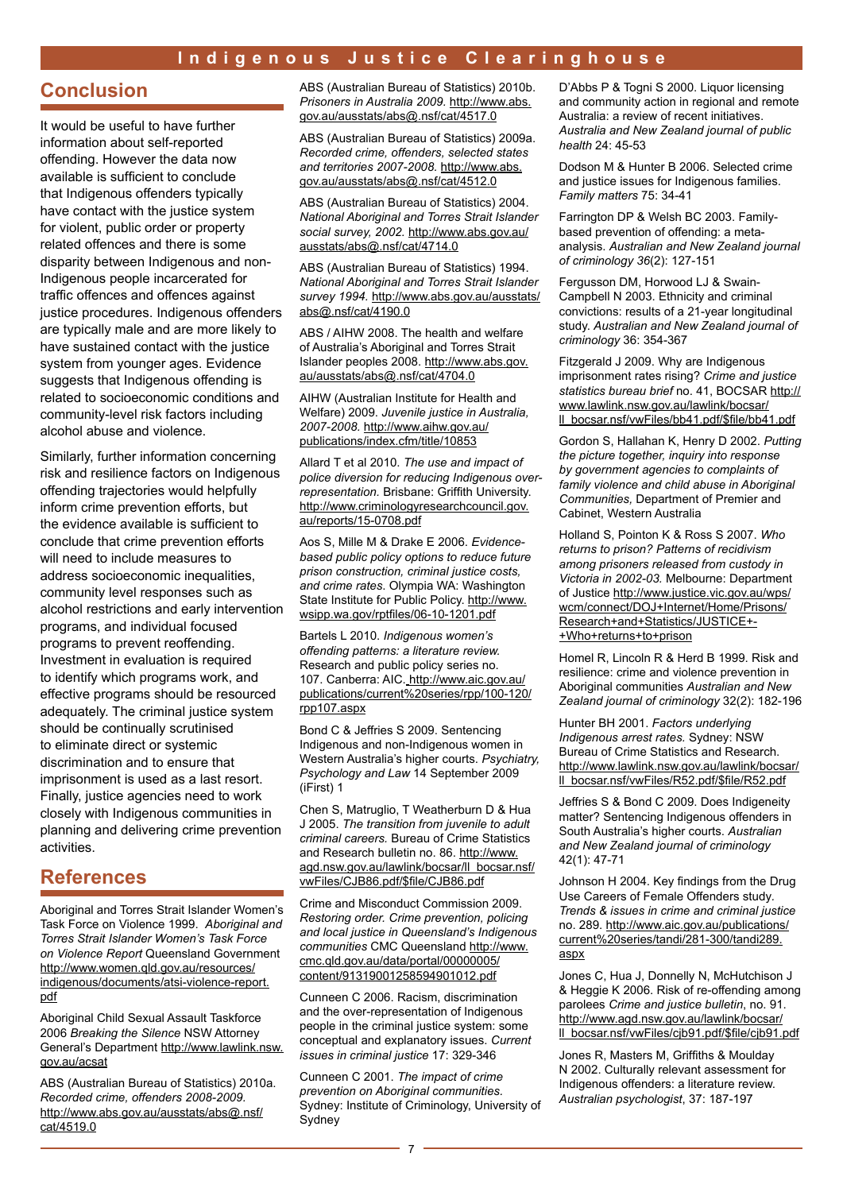#### **Conclusion**

It would be useful to have further information about self-reported offending. However the data now available is sufficient to conclude that Indigenous offenders typically have contact with the justice system for violent, public order or property related offences and there is some disparity between Indigenous and non-Indigenous people incarcerated for traffic offences and offences against justice procedures. Indigenous offenders are typically male and are more likely to have sustained contact with the justice system from younger ages. Evidence suggests that Indigenous offending is related to socioeconomic conditions and community-level risk factors including alcohol abuse and violence.

Similarly, further information concerning risk and resilience factors on Indigenous offending trajectories would helpfully inform crime prevention efforts, but the evidence available is sufficient to conclude that crime prevention efforts will need to include measures to address socioeconomic inequalities, community level responses such as alcohol restrictions and early intervention programs, and individual focused programs to prevent reoffending. Investment in evaluation is required to identify which programs work, and effective programs should be resourced adequately. The criminal justice system should be continually scrutinised to eliminate direct or systemic discrimination and to ensure that imprisonment is used as a last resort. Finally, justice agencies need to work closely with Indigenous communities in planning and delivering crime prevention activities.

#### **References**

Aboriginal and Torres Strait Islander Women's Task Force on Violence 1999. *Aboriginal and Torres Strait Islander Women's Task Force on Violence Report* Queensland Government http://www.women.qld.gov.au/resources/ indigenous/documents/atsi-violence-report. pdf

Aboriginal Child Sexual Assault Taskforce 2006 *Breaking the Silence* NSW Attorney General's Department http://www.lawlink.nsw. gov.au/acsat

ABS (Australian Bureau of Statistics) 2010a. *Recorded crime, offenders 2008-2009.* http://www.abs.gov.au/ausstats/abs@.nsf/ cat/4519.0

ABS (Australian Bureau of Statistics) 2010b. *Prisoners in Australia 2009.* http://www.abs. gov.au/ausstats/abs@.nsf/cat/4517.0

ABS (Australian Bureau of Statistics) 2009a. *Recorded crime, offenders, selected states and territories 2007-2008.* http://www.abs. gov.au/ausstats/abs@.nsf/cat/4512.0

ABS (Australian Bureau of Statistics) 2004. *National Aboriginal and Torres Strait Islander social survey, 2002.* http://www.abs.gov.au/ ausstats/abs@.nsf/cat/4714.0

ABS (Australian Bureau of Statistics) 1994. *National Aboriginal and Torres Strait Islander survey 1994.* http://www.abs.gov.au/ausstats/ abs@.nsf/cat/4190.0

ABS / AIHW 2008. The health and welfare of Australia's Aboriginal and Torres Strait Islander peoples 2008. http://www.abs.gov. au/ausstats/abs@.nsf/cat/4704.0

AIHW (Australian Institute for Health and Welfare) 2009. *Juvenile justice in Australia, 2007-2008.* http://www.aihw.gov.au/ publications/index.cfm/title/10853

Allard T et al 2010. *The use and impact of police diversion for reducing Indigenous overrepresentation.* Brisbane: Griffith University. http://www.criminologyresearchcouncil.gov. au/reports/15-0708.pdf

Aos S, Mille M & Drake E 2006. *Evidencebased public policy options to reduce future prison construction, criminal justice costs, and crime rates*. Olympia WA: Washington State Institute for Public Policy. http://www. wsipp.wa.gov/rptfiles/06-10-1201.pdf

Bartels L 2010. *Indigenous women's offending patterns: a literature review.*  Research and public policy series no. 107. Canberra: AIC. http://www.aic.gov.au/ publications/current%20series/rpp/100-120/ rpp107.aspx

Bond C & Jeffries S 2009. Sentencing Indigenous and non-Indigenous women in Western Australia's higher courts. *Psychiatry, Psychology and Law* 14 September 2009 (iFirst) 1

Chen S, Matruglio, T Weatherburn D & Hua J 2005. *The transition from juvenile to adult criminal careers.* Bureau of Crime Statistics and Research bulletin no. 86. http://www. agd.nsw.gov.au/lawlink/bocsar/ll\_bocsar.nsf/ vwFiles/CJB86.pdf/\$file/CJB86.pdf

Crime and Misconduct Commission 2009. *Restoring order. Crime prevention, policing and local justice in Queensland's Indigenous communities* CMC Queensland http://www. cmc.qld.gov.au/data/portal/00000005/ content/91319001258594901012.pdf

Cunneen C 2006. Racism, discrimination and the over-representation of Indigenous people in the criminal justice system: some conceptual and explanatory issues. *Current issues in criminal justice* 17: 329-346

Cunneen C 2001. *The impact of crime prevention on Aboriginal communities.* Sydney: Institute of Criminology, University of Sydney

D'Abbs P & Togni S 2000. Liquor licensing and community action in regional and remote Australia: a review of recent initiatives. *Australia and New Zealand journal of public health* 24: 45-53

Dodson M & Hunter B 2006. Selected crime and justice issues for Indigenous families. *Family matters* 75: 34-41

Farrington DP & Welsh BC 2003. Familybased prevention of offending: a metaanalysis. *Australian and New Zealand journal of criminology 36*(2): 127-151

Fergusson DM, Horwood LJ & Swain-Campbell N 2003. Ethnicity and criminal convictions: results of a 21-year longitudinal study. *Australian and New Zealand journal of criminology* 36: 354-367

Fitzgerald J 2009. Why are Indigenous imprisonment rates rising? *Crime and justice statistics bureau brief* no. 41, BOCSAR http:// www.lawlink.nsw.gov.au/lawlink/bocsar/ ll\_bocsar.nsf/vwFiles/bb41.pdf/\$file/bb41.pdf

Gordon S, Hallahan K, Henry D 2002. *Putting the picture together, inquiry into response by government agencies to complaints of family violence and child abuse in Aboriginal Communities,* Department of Premier and Cabinet, Western Australia

Holland S, Pointon K & Ross S 2007. *Who returns to prison? Patterns of recidivism among prisoners released from custody in Victoria in 2002-03.* Melbourne: Department of Justice http://www.justice.vic.gov.au/wps/ wcm/connect/DOJ+Internet/Home/Prisons/ Research+and+Statistics/JUSTICE+- +Who+returns+to+prison

Homel R, Lincoln R & Herd B 1999. Risk and resilience: crime and violence prevention in Aboriginal communities *Australian and New Zealand journal of criminology* 32(2): 182-196

Hunter BH 2001. *Factors underlying Indigenous arrest rates.* Sydney: NSW Bureau of Crime Statistics and Research. http://www.lawlink.nsw.gov.au/lawlink/bocsar/ ll\_bocsar.nsf/vwFiles/R52.pdf/\$file/R52.pdf

Jeffries S & Bond C 2009. Does Indigeneity matter? Sentencing Indigenous offenders in South Australia's higher courts. *Australian and New Zealand journal of criminology* 42(1): 47-71

Johnson H 2004. Key findings from the Drug Use Careers of Female Offenders study*. Trends & issues in crime and criminal justice* no. 289. http://www.aic.gov.au/publications/ current%20series/tandi/281-300/tandi289. aspx

Jones C, Hua J, Donnelly N, McHutchison J & Heggie K 2006. Risk of re-offending among parolees *Crime and justice bulletin*, no. 91. http://www.agd.nsw.gov.au/lawlink/bocsar/ ll\_bocsar.nsf/vwFiles/cjb91.pdf/\$file/cjb91.pdf

Jones R, Masters M, Griffiths & Moulday N 2002. Culturally relevant assessment for Indigenous offenders: a literature review. *Australian psychologist*, 37: 187-197